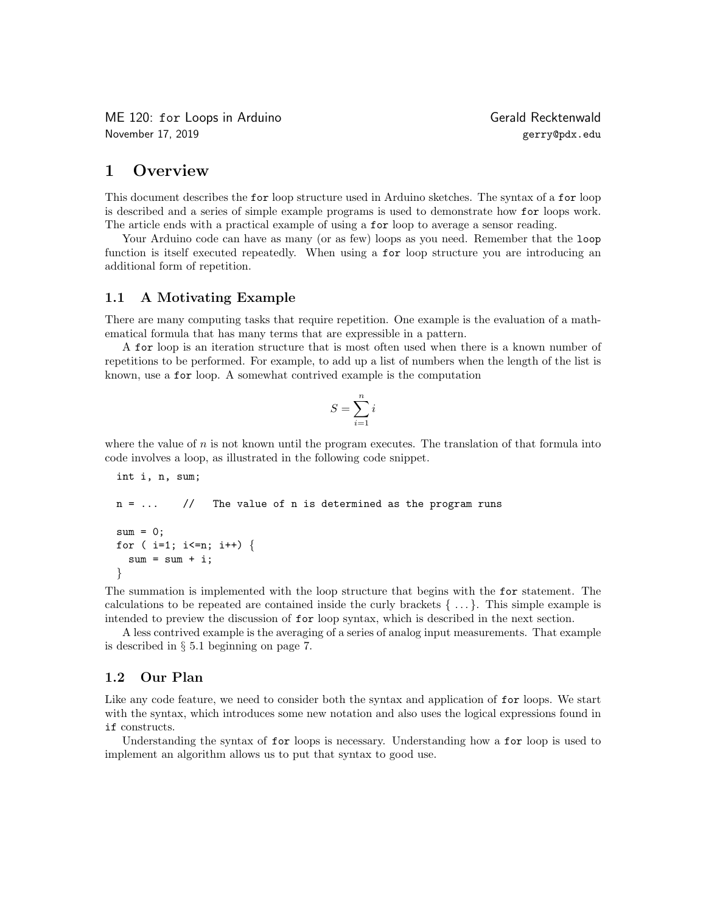ME 120: for Loops in Arduino and the Controller of Gerald Recktenwald November 17, 2019 gerry@pdx.edu

# 1 Overview

This document describes the for loop structure used in Arduino sketches. The syntax of a for loop is described and a series of simple example programs is used to demonstrate how for loops work. The article ends with a practical example of using a for loop to average a sensor reading.

Your Arduino code can have as many (or as few) loops as you need. Remember that the loop function is itself executed repeatedly. When using a for loop structure you are introducing an additional form of repetition.

#### 1.1 A Motivating Example

There are many computing tasks that require repetition. One example is the evaluation of a mathematical formula that has many terms that are expressible in a pattern.

A for loop is an iteration structure that is most often used when there is a known number of repetitions to be performed. For example, to add up a list of numbers when the length of the list is known, use a for loop. A somewhat contrived example is the computation

$$
S = \sum_{i=1}^{n} i
$$

where the value of  $n$  is not known until the program executes. The translation of that formula into code involves a loop, as illustrated in the following code snippet.

```
int i, n, sum;
n = ... // The value of n is determined as the program runs
sum = 0;
for ( i=1; i<=n; i++) {
 sum = sum + i;}
```
The summation is implemented with the loop structure that begins with the for statement. The calculations to be repeated are contained inside the curly brackets  $\{\ldots\}$ . This simple example is intended to preview the discussion of for loop syntax, which is described in the next section.

A less contrived example is the averaging of a series of analog input measurements. That example is described in § 5.1 beginning on page 7.

### 1.2 Our Plan

Like any code feature, we need to consider both the syntax and application of for loops. We start with the syntax, which introduces some new notation and also uses the logical expressions found in if constructs.

Understanding the syntax of for loops is necessary. Understanding how a for loop is used to implement an algorithm allows us to put that syntax to good use.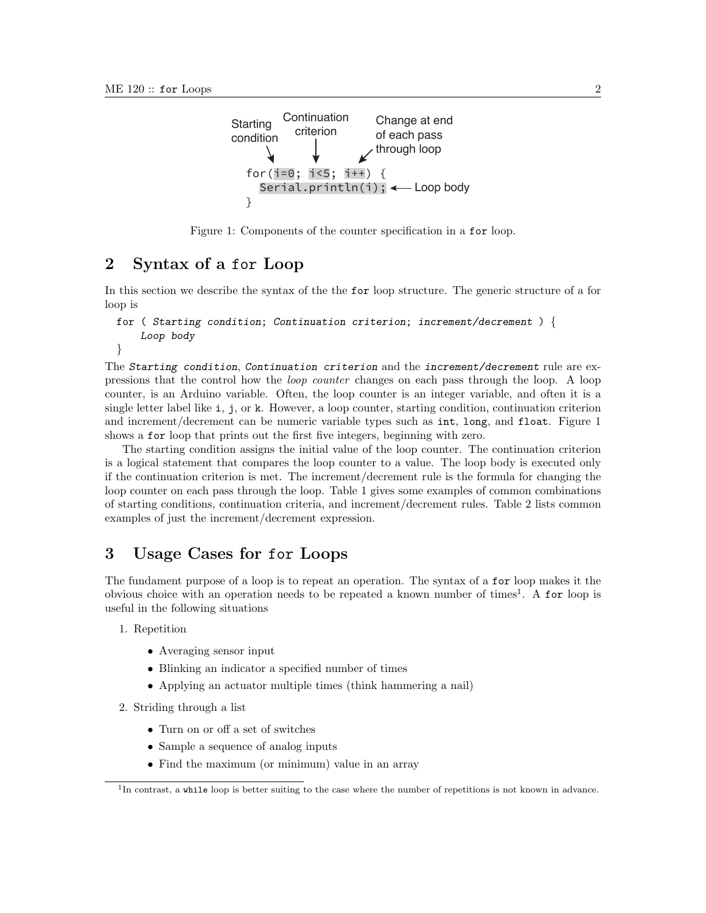

Figure 1: Components of the counter specification in a for loop.

## 2 Syntax of a for Loop

In this section we describe the syntax of the the for loop structure. The generic structure of a for loop is

```
for ( Starting condition; Continuation criterion; increment/decrement ) {
    Loop body
```
}

The Starting condition, Continuation criterion and the increment/decrement rule are expressions that the control how the loop counter changes on each pass through the loop. A loop counter, is an Arduino variable. Often, the loop counter is an integer variable, and often it is a single letter label like i, j, or k. However, a loop counter, starting condition, continuation criterion and increment/decrement can be numeric variable types such as int, long, and float. Figure 1 shows a for loop that prints out the first five integers, beginning with zero.

The starting condition assigns the initial value of the loop counter. The continuation criterion is a logical statement that compares the loop counter to a value. The loop body is executed only if the continuation criterion is met. The increment/decrement rule is the formula for changing the loop counter on each pass through the loop. Table 1 gives some examples of common combinations of starting conditions, continuation criteria, and increment/decrement rules. Table 2 lists common examples of just the increment/decrement expression.

# 3 Usage Cases for for Loops

The fundament purpose of a loop is to repeat an operation. The syntax of a for loop makes it the obvious choice with an operation needs to be repeated a known number of times<sup>1</sup>. A for loop is useful in the following situations

1. Repetition

- Averaging sensor input
- Blinking an indicator a specified number of times
- Applying an actuator multiple times (think hammering a nail)

2. Striding through a list

- Turn on or off a set of switches
- Sample a sequence of analog inputs
- Find the maximum (or minimum) value in an array

<sup>&</sup>lt;sup>1</sup>In contrast, a while loop is better suiting to the case where the number of repetitions is not known in advance.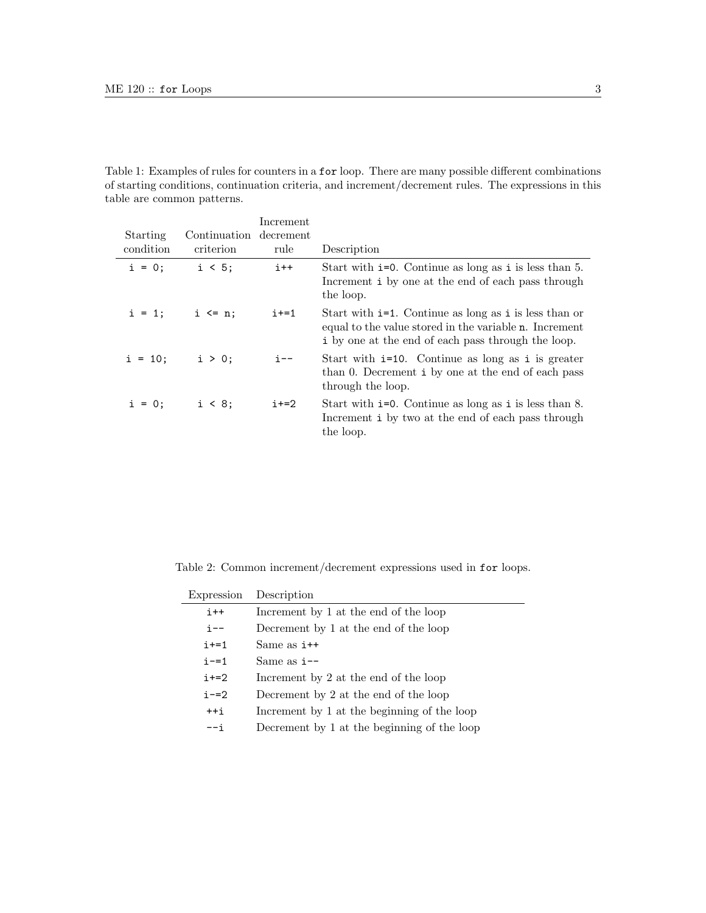Table 1: Examples of rules for counters in a for loop. There are many possible different combinations of starting conditions, continuation criteria, and increment/decrement rules. The expressions in this table are common patterns.

|           |                        | Increment |                                                                                                                                                                                  |
|-----------|------------------------|-----------|----------------------------------------------------------------------------------------------------------------------------------------------------------------------------------|
| Starting  | Continuation decrement |           |                                                                                                                                                                                  |
| condition | criterion              | rule      | Description                                                                                                                                                                      |
| $i = 0$ ; | i < 5;                 | $i++$     | Start with $i=0$ . Continue as long as $i$ is less than 5.<br>Increment i by one at the end of each pass through<br>the loop.                                                    |
| $i = 1$ ; | $i \leq n$ :           | $i+1$     | Start with $i=1$ . Continue as long as i is less than or<br>equal to the value stored in the variable <b>n</b> . Increment<br>i by one at the end of each pass through the loop. |
|           | $i = 10;$ $i > 0;$     | $i - -$   | Start with $i=10$ . Continue as long as $i$ is greater<br>than 0. Decrement i by one at the end of each pass<br>through the loop.                                                |
| $i = 0;$  | $i < 8$ :              | $i+=2$    | Start with $i=0$ . Continue as long as i is less than 8.<br>Increment i by two at the end of each pass through<br>the loop.                                                      |

Table 2: Common increment/decrement expressions used in for loops.

| Expression | Description                                 |
|------------|---------------------------------------------|
| $i++$      | Increment by 1 at the end of the loop       |
| i--        | Decrement by 1 at the end of the loop       |
| $i+1$      | Same as $i++$                               |
| $i = 1$    | Same as $i$ --                              |
| $i+=2$     | Increment by 2 at the end of the loop       |
| $i = 2$    | Decrement by 2 at the end of the loop       |
| $++i$      | Increment by 1 at the beginning of the loop |
| –– i       | Decrement by 1 at the beginning of the loop |
|            |                                             |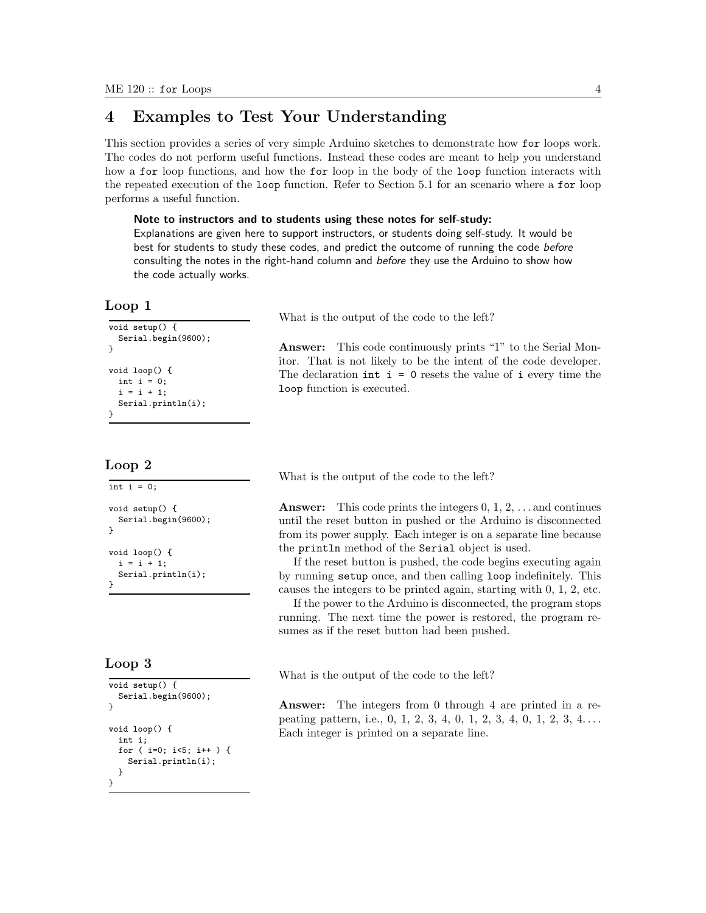# 4 Examples to Test Your Understanding

This section provides a series of very simple Arduino sketches to demonstrate how for loops work. The codes do not perform useful functions. Instead these codes are meant to help you understand how a for loop functions, and how the for loop in the body of the loop function interacts with the repeated execution of the loop function. Refer to Section 5.1 for an scenario where a for loop performs a useful function.

#### Note to instructors and to students using these notes for self-study:

Explanations are given here to support instructors, or students doing self-study. It would be best for students to study these codes, and predict the outcome of running the code before consulting the notes in the right-hand column and before they use the Arduino to show how the code actually works.

#### Loop 1

```
void setup() \overline{\mathcal{E}}Serial.begin(9600);
}
void loop() {
  int i = 0:
  i = i + 1;Serial.println(i);
}
```
#### Loop 2

int  $i = 0$ ; void setup() { Serial.begin(9600); } void loop() {  $i = i + 1;$ Serial.println(i); }

#### Loop 3

```
void setup() {
  Serial.begin(9600);
}
void loop() {
  int i;
  for ( i=0; i<5; i++ ) {
    Serial.println(i);
  }
}
```
What is the output of the code to the left?

Answer: This code continuously prints "1" to the Serial Monitor. That is not likely to be the intent of the code developer. The declaration  $int i = 0$  resets the value of  $i$  every time the loop function is executed.

What is the output of the code to the left?

**Answer:** This code prints the integers  $0, 1, 2, \ldots$  and continues until the reset button in pushed or the Arduino is disconnected from its power supply. Each integer is on a separate line because the println method of the Serial object is used.

If the reset button is pushed, the code begins executing again by running setup once, and then calling loop indefinitely. This causes the integers to be printed again, starting with 0, 1, 2, etc.

If the power to the Arduino is disconnected, the program stops running. The next time the power is restored, the program resumes as if the reset button had been pushed.

What is the output of the code to the left?

Answer: The integers from 0 through 4 are printed in a repeating pattern, i.e., 0, 1, 2, 3, 4, 0, 1, 2, 3, 4, 0, 1, 2, 3, 4... Each integer is printed on a separate line.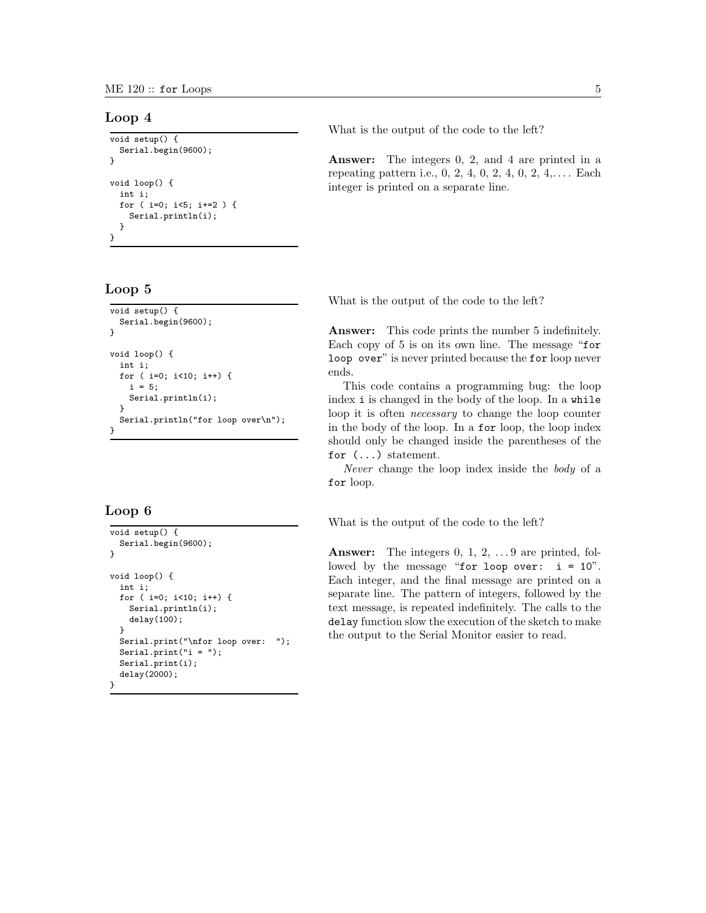#### Loop 4

```
void setup() {
  Serial.begin(9600);
}
void loop() {
  int i;
  for ( i=0; i<5; i+=2 ) {
    Serial.println(i);
  }
}
```
### Loop 5

```
void setup() {
  Serial.begin(9600);
}
void loop() {
  int i;
  for ( i=0; i<10; i++) {
    i = 5;Serial.println(i);
  }
  Serial.println("for loop over\n");
}
```
## Loop 6

```
void setup() {
  Serial.begin(9600);
}
void loop() {
  int i;
  for ( i=0; i<10; i++) {
    Serial.println(i);
    delay(100);
  }
  Serial.print("\nfor loop over: ");
  Serial.print("i = ");
  Serial.print(i);
  delay(2000);
}
```
What is the output of the code to the left?

Answer: The integers 0, 2, and 4 are printed in a repeating pattern i.e.,  $0, 2, 4, 0, 2, 4, 0, 2, 4, \ldots$  Each integer is printed on a separate line.

What is the output of the code to the left?

Answer: This code prints the number 5 indefinitely. Each copy of 5 is on its own line. The message "for loop over" is never printed because the for loop never ends.

This code contains a programming bug: the loop index i is changed in the body of the loop. In a while loop it is often necessary to change the loop counter in the body of the loop. In a for loop, the loop index should only be changed inside the parentheses of the for (...) statement.

Never change the loop index inside the body of a for loop.

What is the output of the code to the left?

Answer: The integers 0, 1, 2, ... 9 are printed, followed by the message "for loop over:  $i = 10$ ". Each integer, and the final message are printed on a separate line. The pattern of integers, followed by the text message, is repeated indefinitely. The calls to the delay function slow the execution of the sketch to make the output to the Serial Monitor easier to read.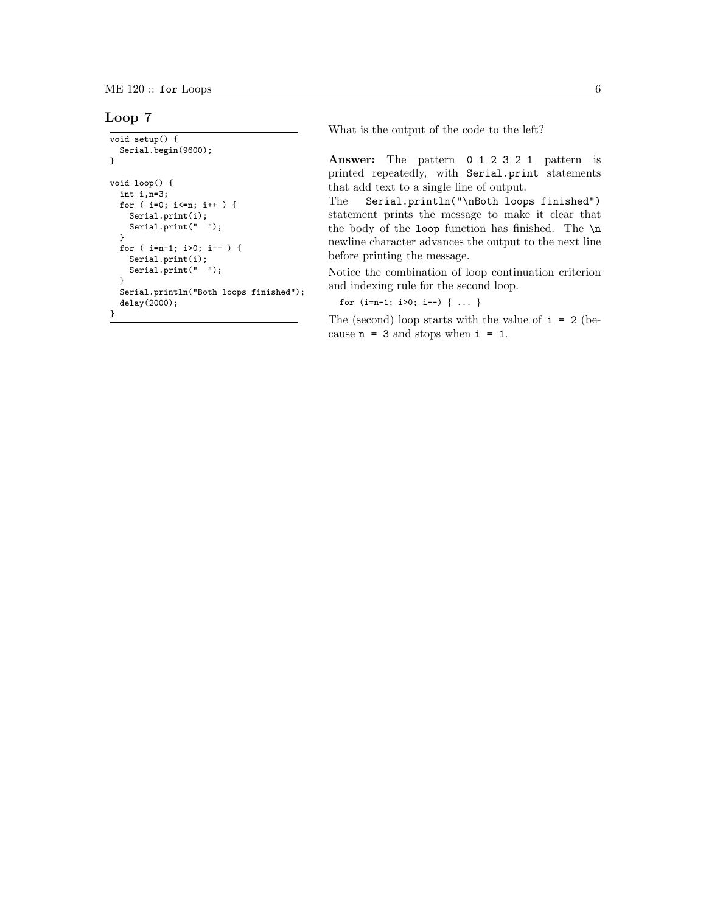#### Loop 7

```
void setup() {
 Serial.begin(9600);
}
void loop() {
  int i,n=3;
  for ( i=0; i<=n; i++ ) {
    Serial.print(i);
   Serial.print(" ");
  }
  for ( i=n-1; i>0; i-- ) {
    Serial.print(i);
    Serial.print(" ");
  }
  Serial.println("Both loops finished");
  delay(2000);
}
```
What is the output of the code to the left?

Answer: The pattern 0 1 2 3 2 1 pattern is printed repeatedly, with Serial.print statements that add text to a single line of output.

The Serial.println("\nBoth loops finished") statement prints the message to make it clear that the body of the loop function has finished. The \n newline character advances the output to the next line before printing the message.

Notice the combination of loop continuation criterion and indexing rule for the second loop.

for  $(i=n-1; i>0; i--)$   $\{ \ldots \}$ 

The (second) loop starts with the value of  $i = 2$  (because  $n = 3$  and stops when  $i = 1$ .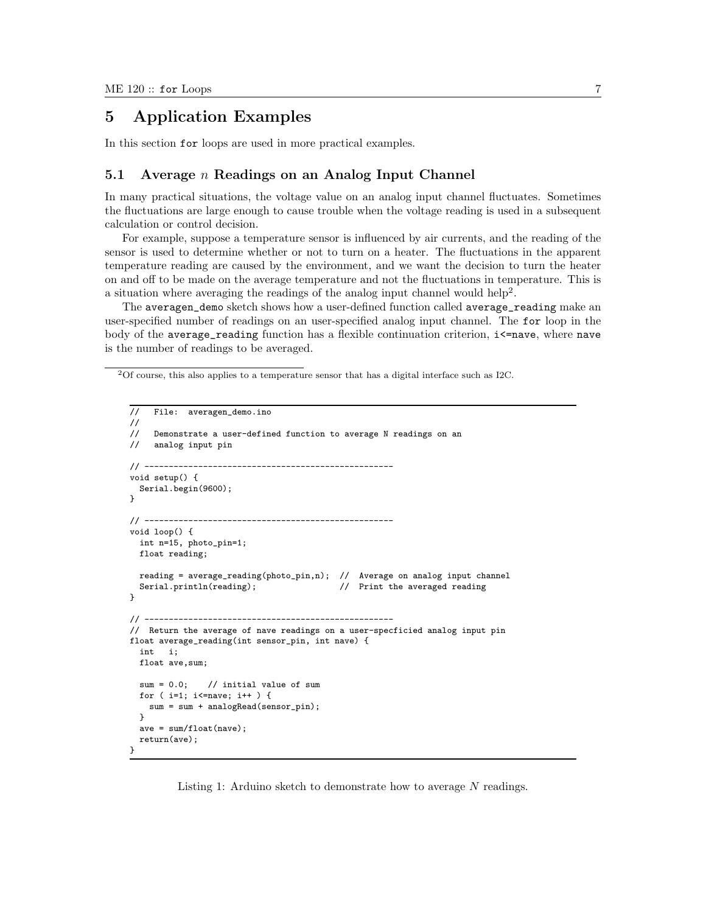# 5 Application Examples

In this section for loops are used in more practical examples.

#### 5.1 Average  $n$  Readings on an Analog Input Channel

In many practical situations, the voltage value on an analog input channel fluctuates. Sometimes the fluctuations are large enough to cause trouble when the voltage reading is used in a subsequent calculation or control decision.

For example, suppose a temperature sensor is influenced by air currents, and the reading of the sensor is used to determine whether or not to turn on a heater. The fluctuations in the apparent temperature reading are caused by the environment, and we want the decision to turn the heater on and off to be made on the average temperature and not the fluctuations in temperature. This is a situation where averaging the readings of the analog input channel would help<sup>2</sup>.

The averagen\_demo sketch shows how a user-defined function called average\_reading make an user-specified number of readings on an user-specified analog input channel. The for loop in the body of the average\_reading function has a flexible continuation criterion,  $i\leq$ -nave, where nave is the number of readings to be averaged.

```
// File: averagen_demo.ino
//
// Demonstrate a user-defined function to average N readings on an
// analog input pin
11 ---------
void setup() {
 Serial.begin(9600);
}
// ---------------------------------------------------
void loop() {
 int n=15, photo_pin=1;
 float reading;
 reading = average_reading(photo_pin,n); // Average on analog input channel
 Serial.println(reading); \sqrt{ } Print the averaged reading
}
// ---------------------------------------------------
// Return the average of nave readings on a user-specficied analog input pin
float average_reading(int sensor_pin, int nave) {
 int i;
 float ave,sum;
  sum = 0.0; // initial value of sum
 for ( i=1; i<=nave; i++ ) {
   sum = sum + analogRead(sensor_pin);
 }
 ave = sum/float(nave);
 return(ave);
}
```
Listing 1: Arduino sketch to demonstrate how to average  $N$  readings.

<sup>2</sup>Of course, this also applies to a temperature sensor that has a digital interface such as I2C.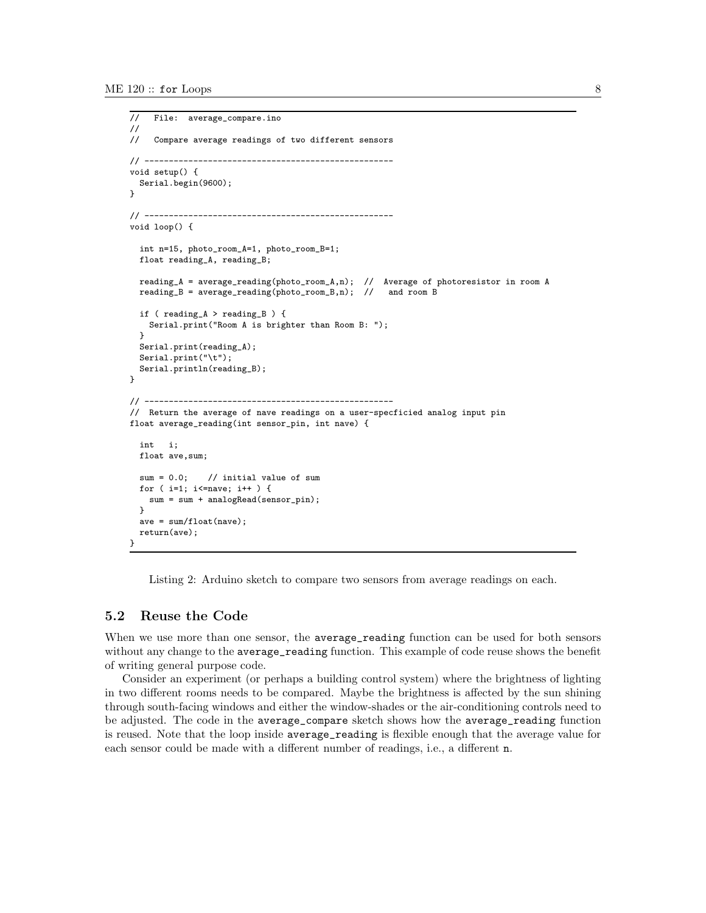```
// File: average_compare.ino
//
// Compare average readings of two different sensors
// ---------------------------------------------------
void setup() {
 Serial.begin(9600);
}
// ---------------------------------------------------
void loop() {
  int n=15, photo_room_A=1, photo_room_B=1;
  float reading_A, reading_B;
  reading_A = average_reading(photo_room_A,n); // Average of photoresistor in room A
  reading_B = average\_reading(photo\_room_B, n); // and room B
  if ( reading_A > reading_B ) {
    Serial.print("Room A is brighter than Room B: ");
  }
  Serial.print(reading_A);
  Serial.print("\t");
  Serial.println(reading_B);
\mathbf{r}// ---------------------------------------------------
// Return the average of nave readings on a user-specficied analog input pin
float average_reading(int sensor_pin, int nave) {
  int i;
  float ave,sum;
  sum = 0.0; // initial value of sum
  for ( i=1; i<=nave; i++ ) {
   sum = sum + analogRead(sensor_pin);
  }
  ave = sum/flost(name);return(ave);
}
```
Listing 2: Arduino sketch to compare two sensors from average readings on each.

### 5.2 Reuse the Code

When we use more than one sensor, the **average\_reading** function can be used for both sensors without any change to the average\_reading function. This example of code reuse shows the benefit of writing general purpose code.

Consider an experiment (or perhaps a building control system) where the brightness of lighting in two different rooms needs to be compared. Maybe the brightness is affected by the sun shining through south-facing windows and either the window-shades or the air-conditioning controls need to be adjusted. The code in the average\_compare sketch shows how the average\_reading function is reused. Note that the loop inside average\_reading is flexible enough that the average value for each sensor could be made with a different number of readings, i.e., a different n.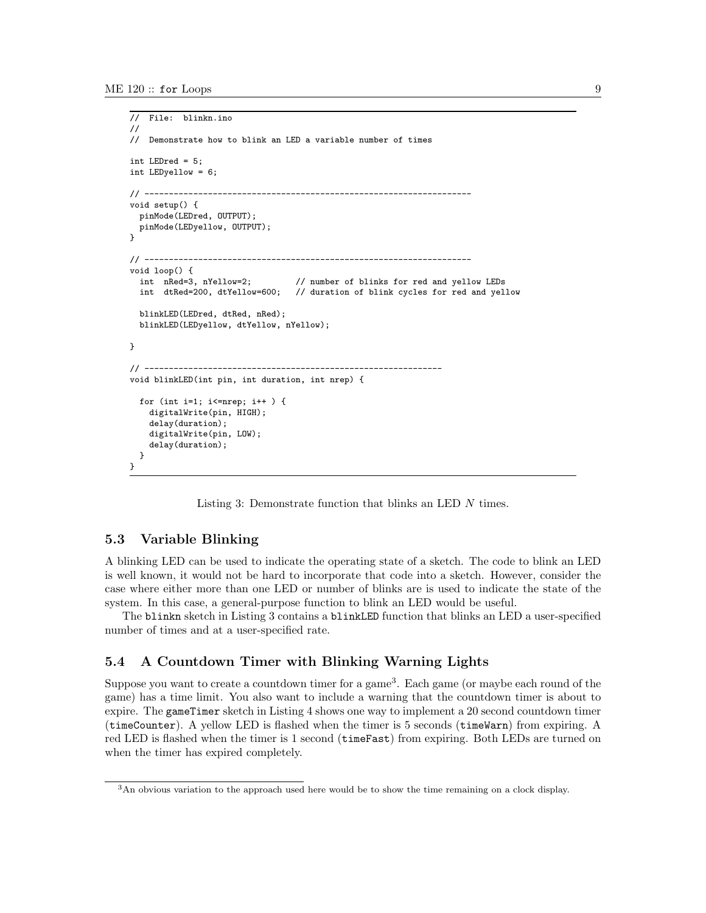```
// File: blinkn.ino
//
// Demonstrate how to blink an LED a variable number of times
int LEDred = 5;
int LEDyellow = 6;
11 - 200void setup() {
  pinMode(LEDred, OUTPUT);
  pinMode(LEDyellow, OUTPUT);
\mathbf{I}// -------------------------------------------------------------------
void loop() {
  int nRed=3, nYellow=2; // number of blinks for red and yellow LEDs<br>int dtRed=200, dtYellow=600; // duration of blink cycles for red and yel
                                    // duration of blink cycles for red and yellow
  blinkLED(LEDred, dtRed, nRed);
  blinkLED(LEDyellow, dtYellow, nYellow);
}
// -------------------------------------------------------------
void blinkLED(int pin, int duration, int nrep) {
  for (int i=1; i <= nrep; i ++ ) {
    digitalWrite(pin, HIGH);
    delay(duration);
    digitalWrite(pin, LOW);
    delay(duration);
  }
}
```
Listing 3: Demonstrate function that blinks an LED N times.

### 5.3 Variable Blinking

A blinking LED can be used to indicate the operating state of a sketch. The code to blink an LED is well known, it would not be hard to incorporate that code into a sketch. However, consider the case where either more than one LED or number of blinks are is used to indicate the state of the system. In this case, a general-purpose function to blink an LED would be useful.

The blinkn sketch in Listing 3 contains a blinkLED function that blinks an LED a user-specified number of times and at a user-specified rate.

#### 5.4 A Countdown Timer with Blinking Warning Lights

Suppose you want to create a countdown timer for a game<sup>3</sup>. Each game (or maybe each round of the game) has a time limit. You also want to include a warning that the countdown timer is about to expire. The gameTimer sketch in Listing 4 shows one way to implement a 20 second countdown timer (timeCounter). A yellow LED is flashed when the timer is 5 seconds (timeWarn) from expiring. A red LED is flashed when the timer is 1 second (timeFast) from expiring. Both LEDs are turned on when the timer has expired completely.

<sup>3</sup>An obvious variation to the approach used here would be to show the time remaining on a clock display.